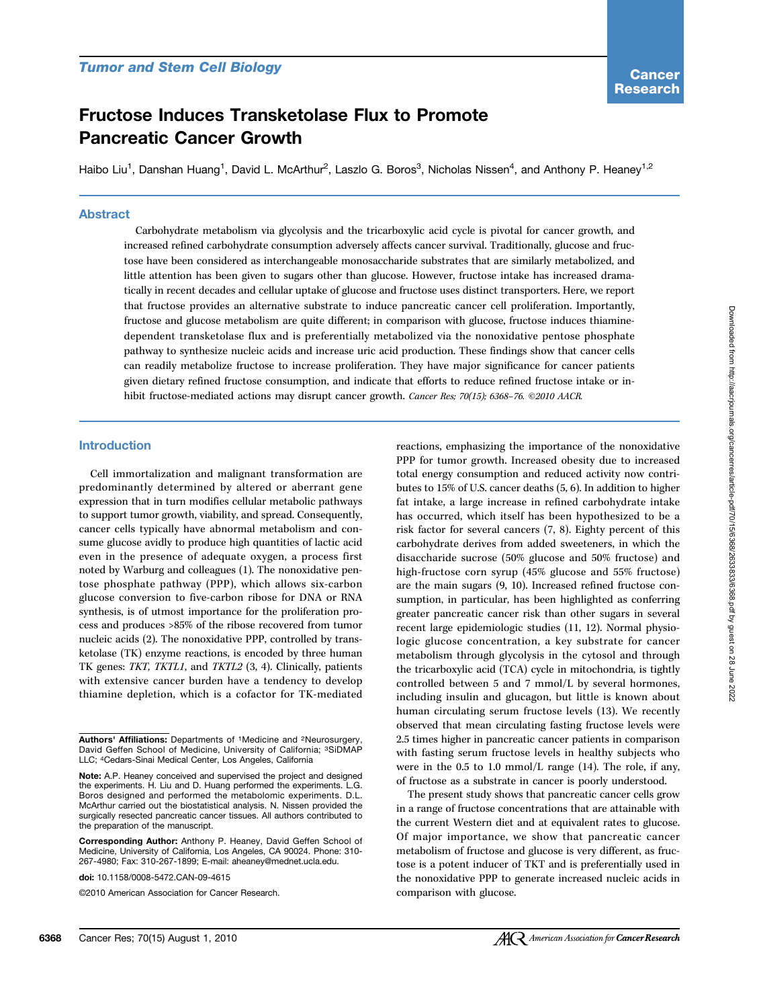# Fructose Induces Transketolase Flux to Promote Pancreatic Cancer Growth

Haibo Liu<sup>1</sup>, Danshan Huang<sup>1</sup>, David L. McArthur<sup>2</sup>, Laszlo G. Boros<sup>3</sup>, Nicholas Nissen<sup>4</sup>, and Anthony P. Heaney<sup>1,2</sup>

#### Abstract

Carbohydrate metabolism via glycolysis and the tricarboxylic acid cycle is pivotal for cancer growth, and increased refined carbohydrate consumption adversely affects cancer survival. Traditionally, glucose and fructose have been considered as interchangeable monosaccharide substrates that are similarly metabolized, and little attention has been given to sugars other than glucose. However, fructose intake has increased dramatically in recent decades and cellular uptake of glucose and fructose uses distinct transporters. Here, we report that fructose provides an alternative substrate to induce pancreatic cancer cell proliferation. Importantly, fructose and glucose metabolism are quite different; in comparison with glucose, fructose induces thiaminedependent transketolase flux and is preferentially metabolized via the nonoxidative pentose phosphate pathway to synthesize nucleic acids and increase uric acid production. These findings show that cancer cells can readily metabolize fructose to increase proliferation. They have major significance for cancer patients given dietary refined fructose consumption, and indicate that efforts to reduce refined fructose intake or inhibit fructose-mediated actions may disrupt cancer growth. Cancer Res; 70(15); 6368-76. ©2010 AACR.

#### Introduction

Cell immortalization and malignant transformation are predominantly determined by altered or aberrant gene expression that in turn modifies cellular metabolic pathways to support tumor growth, viability, and spread. Consequently, cancer cells typically have abnormal metabolism and consume glucose avidly to produce high quantities of lactic acid even in the presence of adequate oxygen, a process first noted by Warburg and colleagues (1). The nonoxidative pentose phosphate pathway (PPP), which allows six-carbon glucose conversion to five-carbon ribose for DNA or RNA synthesis, is of utmost importance for the proliferation process and produces >85% of the ribose recovered from tumor nucleic acids (2). The nonoxidative PPP, controlled by transketolase (TK) enzyme reactions, is encoded by three human TK genes: TKT, TKTL1, and TKTL2 (3, 4). Clinically, patients with extensive cancer burden have a tendency to develop thiamine depletion, which is a cofactor for TK-mediated

reactions, emphasizing the importance of the nonoxidative PPP for tumor growth. Increased obesity due to increased total energy consumption and reduced activity now contributes to 15% of U.S. cancer deaths (5, 6). In addition to higher fat intake, a large increase in refined carbohydrate intake has occurred, which itself has been hypothesized to be a risk factor for several cancers (7, 8). Eighty percent of this carbohydrate derives from added sweeteners, in which the disaccharide sucrose (50% glucose and 50% fructose) and high-fructose corn syrup (45% glucose and 55% fructose) are the main sugars (9, 10). Increased refined fructose consumption, in particular, has been highlighted as conferring greater pancreatic cancer risk than other sugars in several recent large epidemiologic studies (11, 12). Normal physiologic glucose concentration, a key substrate for cancer metabolism through glycolysis in the cytosol and through the tricarboxylic acid (TCA) cycle in mitochondria, is tightly controlled between 5 and 7 mmol/L by several hormones, including insulin and glucagon, but little is known about human circulating serum fructose levels (13). We recently observed that mean circulating fasting fructose levels were 2.5 times higher in pancreatic cancer patients in comparison with fasting serum fructose levels in healthy subjects who were in the 0.5 to 1.0 mmol/L range (14). The role, if any, of fructose as a substrate in cancer is poorly understood.

The present study shows that pancreatic cancer cells grow in a range of fructose concentrations that are attainable with the current Western diet and at equivalent rates to glucose. Of major importance, we show that pancreatic cancer metabolism of fructose and glucose is very different, as fructose is a potent inducer of TKT and is preferentially used in the nonoxidative PPP to generate increased nucleic acids in comparison with glucose.

Authors' Affiliations: Departments of 1Medicine and 2Neurosurgery, David Geffen School of Medicine, University of California; 3SiDMAP LLC; 4Cedars-Sinai Medical Center, Los Angeles, California

Note: A.P. Heaney conceived and supervised the project and designed the experiments. H. Liu and D. Huang performed the experiments. L.G. Boros designed and performed the metabolomic experiments. D.L. McArthur carried out the biostatistical analysis. N. Nissen provided the surgically resected pancreatic cancer tissues. All authors contributed to the preparation of the manuscript.

Corresponding Author: Anthony P. Heaney, David Geffen School of Medicine, University of California, Los Angeles, CA 90024. Phone: 310- 267-4980; Fax: 310-267-1899; E-mail: aheaney@mednet.ucla.edu.

doi: 10.1158/0008-5472.CAN-09-4615

<sup>©2010</sup> American Association for Cancer Research.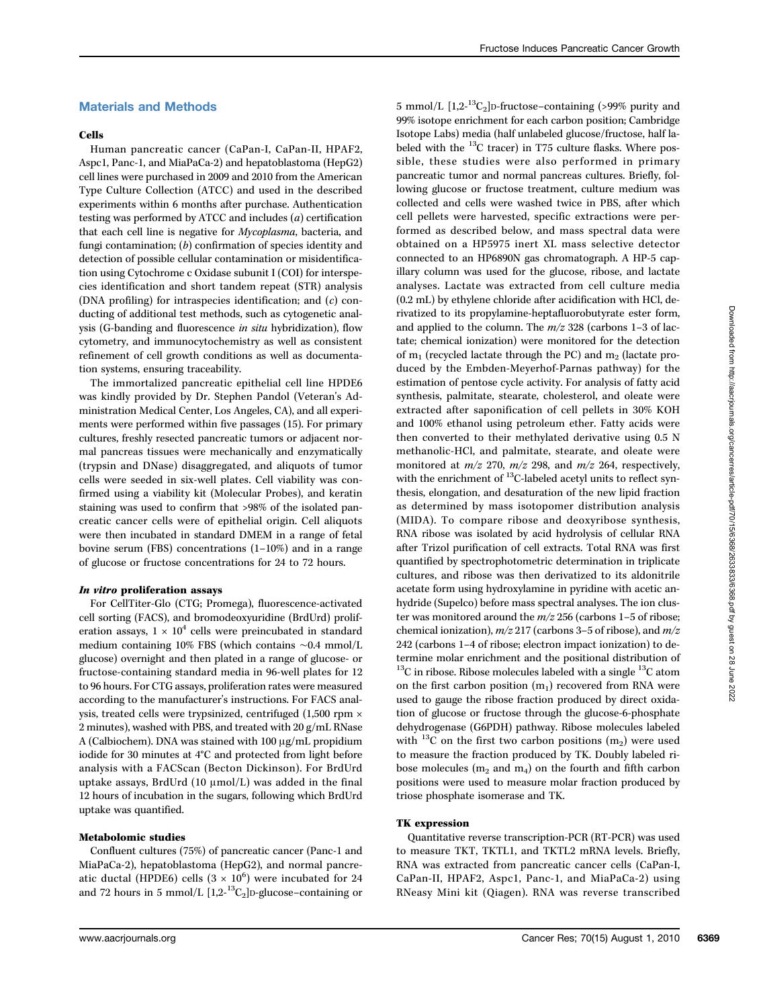## Materials and Methods

#### Cells

Human pancreatic cancer (CaPan-I, CaPan-II, HPAF2, Aspc1, Panc-1, and MiaPaCa-2) and hepatoblastoma (HepG2) cell lines were purchased in 2009 and 2010 from the American Type Culture Collection (ATCC) and used in the described experiments within 6 months after purchase. Authentication testing was performed by ATCC and includes (a) certification that each cell line is negative for Mycoplasma, bacteria, and fungi contamination; (b) confirmation of species identity and detection of possible cellular contamination or misidentification using Cytochrome c Oxidase subunit I (COI) for interspecies identification and short tandem repeat (STR) analysis (DNA profiling) for intraspecies identification; and  $(c)$  conducting of additional test methods, such as cytogenetic analysis (G-banding and fluorescence in situ hybridization), flow cytometry, and immunocytochemistry as well as consistent refinement of cell growth conditions as well as documentation systems, ensuring traceability.

The immortalized pancreatic epithelial cell line HPDE6 was kindly provided by Dr. Stephen Pandol (Veteran's Administration Medical Center, Los Angeles, CA), and all experiments were performed within five passages (15). For primary cultures, freshly resected pancreatic tumors or adjacent normal pancreas tissues were mechanically and enzymatically (trypsin and DNase) disaggregated, and aliquots of tumor cells were seeded in six-well plates. Cell viability was confirmed using a viability kit (Molecular Probes), and keratin staining was used to confirm that >98% of the isolated pancreatic cancer cells were of epithelial origin. Cell aliquots were then incubated in standard DMEM in a range of fetal bovine serum (FBS) concentrations (1–10%) and in a range of glucose or fructose concentrations for 24 to 72 hours.

#### In vitro proliferation assays

For CellTiter-Glo (CTG; Promega), fluorescence-activated cell sorting (FACS), and bromodeoxyuridine (BrdUrd) proliferation assays,  $1 \times 10^4$  cells were preincubated in standard medium containing 10% FBS (which contains ∼0.4 mmol/L glucose) overnight and then plated in a range of glucose- or fructose-containing standard media in 96-well plates for 12 to 96 hours. For CTG assays, proliferation rates were measured according to the manufacturer's instructions. For FACS analysis, treated cells were trypsinized, centrifuged (1,500 rpm × 2 minutes), washed with PBS, and treated with 20 g/mL RNase A (Calbiochem). DNA was stained with 100 μg/mL propidium iodide for 30 minutes at 4°C and protected from light before analysis with a FACScan (Becton Dickinson). For BrdUrd uptake assays, BrdUrd (10 μmol/L) was added in the final 12 hours of incubation in the sugars, following which BrdUrd uptake was quantified.

#### Metabolomic studies

Confluent cultures (75%) of pancreatic cancer (Panc-1 and MiaPaCa-2), hepatoblastoma (HepG2), and normal pancreatic ductal (HPDE6) cells  $(3 \times 10^6)$  were incubated for 24 and 72 hours in 5 mmol/L  $[1,2^{-13}C_2]$ D-glucose–containing or

5 mmol/L  $[1,2^{-13}C_2]$ D-fructose-containing (>99% purity and 99% isotope enrichment for each carbon position; Cambridge Isotope Labs) media (half unlabeled glucose/fructose, half labeled with the  $^{13}$ C tracer) in T75 culture flasks. Where possible, these studies were also performed in primary pancreatic tumor and normal pancreas cultures. Briefly, following glucose or fructose treatment, culture medium was collected and cells were washed twice in PBS, after which cell pellets were harvested, specific extractions were performed as described below, and mass spectral data were obtained on a HP5975 inert XL mass selective detector connected to an HP6890N gas chromatograph. A HP-5 capillary column was used for the glucose, ribose, and lactate analyses. Lactate was extracted from cell culture media (0.2 mL) by ethylene chloride after acidification with HCl, derivatized to its propylamine-heptafluorobutyrate ester form, and applied to the column. The  $m/z$  328 (carbons 1-3 of lactate; chemical ionization) were monitored for the detection of  $m_1$  (recycled lactate through the PC) and  $m_2$  (lactate produced by the Embden-Meyerhof-Parnas pathway) for the estimation of pentose cycle activity. For analysis of fatty acid synthesis, palmitate, stearate, cholesterol, and oleate were extracted after saponification of cell pellets in 30% KOH and 100% ethanol using petroleum ether. Fatty acids were then converted to their methylated derivative using 0.5 N methanolic-HCl, and palmitate, stearate, and oleate were monitored at  $m/z$  270,  $m/z$  298, and  $m/z$  264, respectively, with the enrichment of <sup>13</sup>C-labeled acetyl units to reflect synthesis, elongation, and desaturation of the new lipid fraction as determined by mass isotopomer distribution analysis (MIDA). To compare ribose and deoxyribose synthesis, RNA ribose was isolated by acid hydrolysis of cellular RNA after Trizol purification of cell extracts. Total RNA was first quantified by spectrophotometric determination in triplicate cultures, and ribose was then derivatized to its aldonitrile acetate form using hydroxylamine in pyridine with acetic anhydride (Supelco) before mass spectral analyses. The ion cluster was monitored around the  $m/z$  256 (carbons 1–5 of ribose; chemical ionization),  $m/z$  217 (carbons 3-5 of ribose), and  $m/z$ 242 (carbons 1–4 of ribose; electron impact ionization) to determine molar enrichment and the positional distribution of  $^{13}$ C in ribose. Ribose molecules labeled with a single  $^{13}$ C atom on the first carbon position  $(m_1)$  recovered from RNA were used to gauge the ribose fraction produced by direct oxidation of glucose or fructose through the glucose-6-phosphate dehydrogenase (G6PDH) pathway. Ribose molecules labeled with <sup>13</sup>C on the first two carbon positions  $(m_2)$  were used to measure the fraction produced by TK. Doubly labeled ribose molecules  $(m_2 \text{ and } m_4)$  on the fourth and fifth carbon positions were used to measure molar fraction produced by triose phosphate isomerase and TK.

#### TK expression

Quantitative reverse transcription-PCR (RT-PCR) was used to measure TKT, TKTL1, and TKTL2 mRNA levels. Briefly, RNA was extracted from pancreatic cancer cells (CaPan-I, CaPan-II, HPAF2, Aspc1, Panc-1, and MiaPaCa-2) using RNeasy Mini kit (Qiagen). RNA was reverse transcribed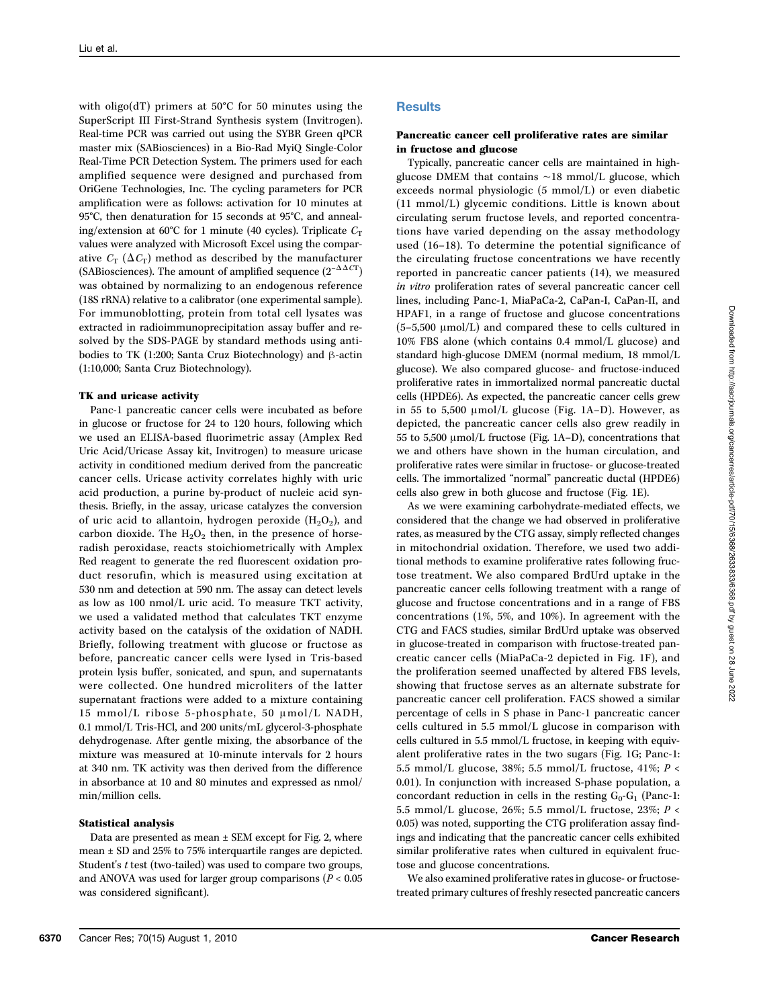with oligo(dT) primers at 50°C for 50 minutes using the SuperScript III First-Strand Synthesis system (Invitrogen). Real-time PCR was carried out using the SYBR Green qPCR master mix (SABiosciences) in a Bio-Rad MyiQ Single-Color Real-Time PCR Detection System. The primers used for each amplified sequence were designed and purchased from OriGene Technologies, Inc. The cycling parameters for PCR amplification were as follows: activation for 10 minutes at 95°C, then denaturation for 15 seconds at 95°C, and annealing/extension at 60°C for 1 minute (40 cycles). Triplicate  $C_T$ values were analyzed with Microsoft Excel using the comparative  $C_T$  ( $\Delta C_T$ ) method as described by the manufacturer (SABiosciences). The amount of amplified sequence  $(2^{-\Delta \Delta CT})$ was obtained by normalizing to an endogenous reference (18S rRNA) relative to a calibrator (one experimental sample). For immunoblotting, protein from total cell lysates was extracted in radioimmunoprecipitation assay buffer and resolved by the SDS-PAGE by standard methods using antibodies to TK (1:200; Santa Cruz Biotechnology) and β-actin (1:10,000; Santa Cruz Biotechnology).

#### TK and uricase activity

Panc-1 pancreatic cancer cells were incubated as before in glucose or fructose for 24 to 120 hours, following which we used an ELISA-based fluorimetric assay (Amplex Red Uric Acid/Uricase Assay kit, Invitrogen) to measure uricase activity in conditioned medium derived from the pancreatic cancer cells. Uricase activity correlates highly with uric acid production, a purine by-product of nucleic acid synthesis. Briefly, in the assay, uricase catalyzes the conversion of uric acid to allantoin, hydrogen peroxide  $(H_2O_2)$ , and carbon dioxide. The  $H_2O_2$  then, in the presence of horseradish peroxidase, reacts stoichiometrically with Amplex Red reagent to generate the red fluorescent oxidation product resorufin, which is measured using excitation at 530 nm and detection at 590 nm. The assay can detect levels as low as 100 nmol/L uric acid. To measure TKT activity, we used a validated method that calculates TKT enzyme activity based on the catalysis of the oxidation of NADH. Briefly, following treatment with glucose or fructose as before, pancreatic cancer cells were lysed in Tris-based protein lysis buffer, sonicated, and spun, and supernatants were collected. One hundred microliters of the latter supernatant fractions were added to a mixture containing 15 mmol/L ribose 5-phosphate, 50 μmol/L NADH, 0.1 mmol/L Tris-HCl, and 200 units/mL glycerol-3-phosphate dehydrogenase. After gentle mixing, the absorbance of the mixture was measured at 10-minute intervals for 2 hours at 340 nm. TK activity was then derived from the difference in absorbance at 10 and 80 minutes and expressed as nmol/ min/million cells.

#### Statistical analysis

Data are presented as mean ± SEM except for Fig. 2, where mean ± SD and 25% to 75% interquartile ranges are depicted. Student's t test (two-tailed) was used to compare two groups, and ANOVA was used for larger group comparisons ( $P < 0.05$ ) was considered significant).

### Pancreatic cancer cell proliferative rates are similar in fructose and glucose

Typically, pancreatic cancer cells are maintained in highglucose DMEM that contains ∼18 mmol/L glucose, which exceeds normal physiologic (5 mmol/L) or even diabetic (11 mmol/L) glycemic conditions. Little is known about circulating serum fructose levels, and reported concentrations have varied depending on the assay methodology used (16–18). To determine the potential significance of the circulating fructose concentrations we have recently reported in pancreatic cancer patients (14), we measured in vitro proliferation rates of several pancreatic cancer cell lines, including Panc-1, MiaPaCa-2, CaPan-I, CaPan-II, and HPAF1, in a range of fructose and glucose concentrations (5–5,500 μmol/L) and compared these to cells cultured in 10% FBS alone (which contains 0.4 mmol/L glucose) and standard high-glucose DMEM (normal medium, 18 mmol/L glucose). We also compared glucose- and fructose-induced proliferative rates in immortalized normal pancreatic ductal cells (HPDE6). As expected, the pancreatic cancer cells grew in 55 to 5,500 μmol/L glucose (Fig. 1A–D). However, as depicted, the pancreatic cancer cells also grew readily in 55 to 5,500 μmol/L fructose (Fig. 1A–D), concentrations that we and others have shown in the human circulation, and proliferative rates were similar in fructose- or glucose-treated cells. The immortalized "normal" pancreatic ductal (HPDE6) cells also grew in both glucose and fructose (Fig. 1E).

As we were examining carbohydrate-mediated effects, we considered that the change we had observed in proliferative rates, as measured by the CTG assay, simply reflected changes in mitochondrial oxidation. Therefore, we used two additional methods to examine proliferative rates following fructose treatment. We also compared BrdUrd uptake in the pancreatic cancer cells following treatment with a range of glucose and fructose concentrations and in a range of FBS concentrations (1%, 5%, and 10%). In agreement with the CTG and FACS studies, similar BrdUrd uptake was observed in glucose-treated in comparison with fructose-treated pancreatic cancer cells (MiaPaCa-2 depicted in Fig. 1F), and the proliferation seemed unaffected by altered FBS levels, showing that fructose serves as an alternate substrate for pancreatic cancer cell proliferation. FACS showed a similar percentage of cells in S phase in Panc-1 pancreatic cancer cells cultured in 5.5 mmol/L glucose in comparison with cells cultured in 5.5 mmol/L fructose, in keeping with equivalent proliferative rates in the two sugars (Fig. 1G; Panc-1: 5.5 mmol/L glucose, 38%; 5.5 mmol/L fructose, 41%; P < 0.01). In conjunction with increased S-phase population, a concordant reduction in cells in the resting  $G_0-G_1$  (Panc-1: 5.5 mmol/L glucose, 26%; 5.5 mmol/L fructose, 23%; P < 0.05) was noted, supporting the CTG proliferation assay findings and indicating that the pancreatic cancer cells exhibited similar proliferative rates when cultured in equivalent fructose and glucose concentrations.

We also examined proliferative rates in glucose- or fructosetreated primary cultures of freshly resected pancreatic cancers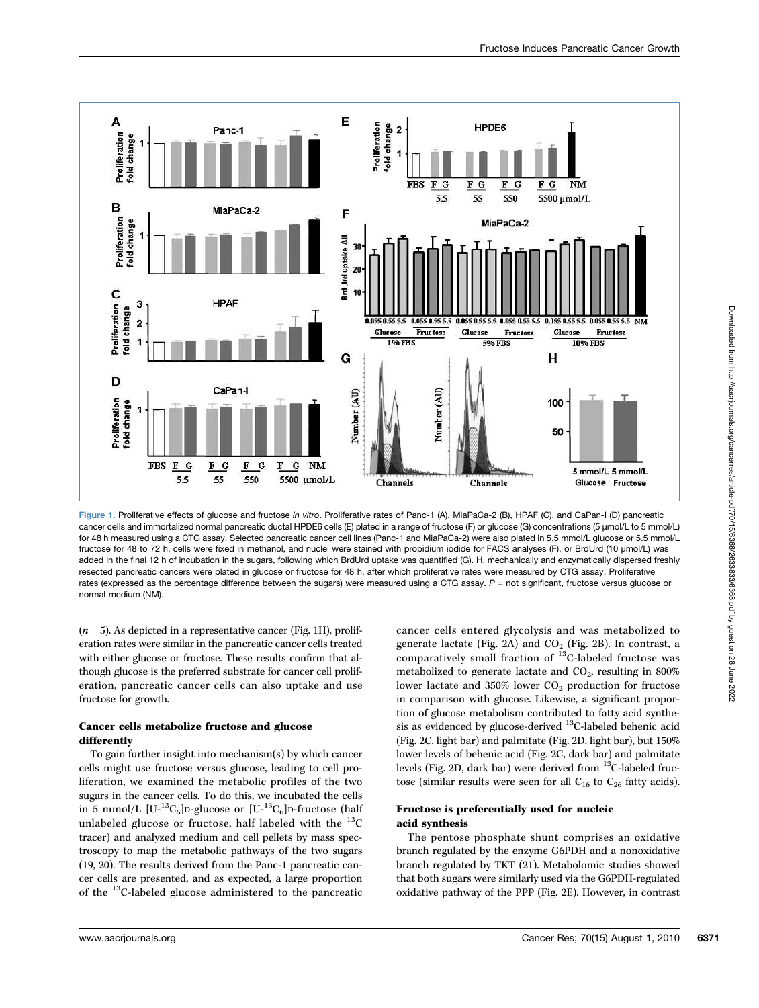

Figure 1. Proliferative effects of glucose and fructose in vitro. Proliferative rates of Panc-1 (A), MiaPaCa-2 (B), HPAF (C), and CaPan-I (D) pancreatic cancer cells and immortalized normal pancreatic ductal HPDE6 cells (E) plated in a range of fructose (F) or glucose (G) concentrations (5 μmol/L to 5 mmol/L) for 48 h measured using a CTG assay. Selected pancreatic cancer cell lines (Panc-1 and MiaPaCa-2) were also plated in 5.5 mmol/L glucose or 5.5 mmol/L fructose for 48 to 72 h, cells were fixed in methanol, and nuclei were stained with propidium iodide for FACS analyses (F), or BrdUrd (10 μmol/L) was added in the final 12 h of incubation in the sugars, following which BrdUrd uptake was quantified (G). H, mechanically and enzymatically dispersed freshly resected pancreatic cancers were plated in glucose or fructose for 48 h, after which proliferative rates were measured by CTG assay. Proliferative rates (expressed as the percentage difference between the sugars) were measured using a CTG assay.  $P =$  not significant, fructose versus glucose or normal medium (NM).

 $(n = 5)$ . As depicted in a representative cancer (Fig. 1H), proliferation rates were similar in the pancreatic cancer cells treated with either glucose or fructose. These results confirm that although glucose is the preferred substrate for cancer cell proliferation, pancreatic cancer cells can also uptake and use fructose for growth.

#### Cancer cells metabolize fructose and glucose differently

To gain further insight into mechanism(s) by which cancer cells might use fructose versus glucose, leading to cell proliferation, we examined the metabolic profiles of the two sugars in the cancer cells. To do this, we incubated the cells in 5 mmol/L  $[U^{-13}C_6]$ D-glucose or  $[U^{-13}C_6]$ D-fructose (half unlabeled glucose or fructose, half labeled with the  $^{13}C$ tracer) and analyzed medium and cell pellets by mass spectroscopy to map the metabolic pathways of the two sugars (19, 20). The results derived from the Panc-1 pancreatic cancer cells are presented, and as expected, a large proportion of the 13C-labeled glucose administered to the pancreatic

cancer cells entered glycolysis and was metabolized to generate lactate (Fig. 2A) and  $CO<sub>2</sub>$  (Fig. 2B). In contrast, a comparatively small fraction of  ${}^{13}$ C-labeled fructose was metabolized to generate lactate and  $CO<sub>2</sub>$ , resulting in 800% lower lactate and 350% lower CO<sub>2</sub> production for fructose in comparison with glucose. Likewise, a significant proportion of glucose metabolism contributed to fatty acid synthesis as evidenced by glucose-derived  $^{13}$ C-labeled behenic acid (Fig. 2C, light bar) and palmitate (Fig. 2D, light bar), but 150% lower levels of behenic acid (Fig. 2C, dark bar) and palmitate levels (Fig. 2D, dark bar) were derived from 13C-labeled fructose (similar results were seen for all  $C_{16}$  to  $C_{26}$  fatty acids).

## Fructose is preferentially used for nucleic acid synthesis

The pentose phosphate shunt comprises an oxidative branch regulated by the enzyme G6PDH and a nonoxidative branch regulated by TKT (21). Metabolomic studies showed that both sugars were similarly used via the G6PDH-regulated oxidative pathway of the PPP (Fig. 2E). However, in contrast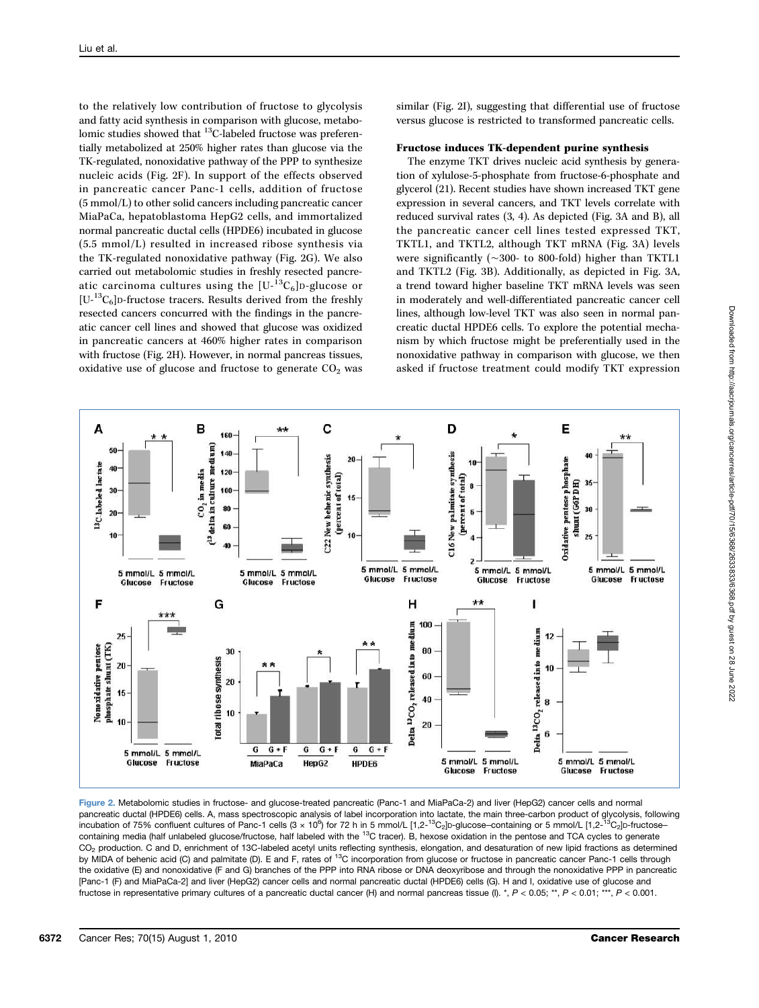to the relatively low contribution of fructose to glycolysis and fatty acid synthesis in comparison with glucose, metabolomic studies showed that <sup>13</sup>C-labeled fructose was preferentially metabolized at 250% higher rates than glucose via the TK-regulated, nonoxidative pathway of the PPP to synthesize nucleic acids (Fig. 2F). In support of the effects observed in pancreatic cancer Panc-1 cells, addition of fructose (5 mmol/L) to other solid cancers including pancreatic cancer MiaPaCa, hepatoblastoma HepG2 cells, and immortalized normal pancreatic ductal cells (HPDE6) incubated in glucose (5.5 mmol/L) resulted in increased ribose synthesis via the TK-regulated nonoxidative pathway (Fig. 2G). We also carried out metabolomic studies in freshly resected pancreatic carcinoma cultures using the  $[U^{-13}C_6]$ D-glucose or  $[U^{-13}C_6]$ D-fructose tracers. Results derived from the freshly resected cancers concurred with the findings in the pancreatic cancer cell lines and showed that glucose was oxidized in pancreatic cancers at 460% higher rates in comparison with fructose (Fig. 2H). However, in normal pancreas tissues, oxidative use of glucose and fructose to generate  $CO<sub>2</sub>$  was

similar (Fig. 2I), suggesting that differential use of fructose versus glucose is restricted to transformed pancreatic cells.

#### Fructose induces TK-dependent purine synthesis

The enzyme TKT drives nucleic acid synthesis by generation of xylulose-5-phosphate from fructose-6-phosphate and glycerol (21). Recent studies have shown increased TKT gene expression in several cancers, and TKT levels correlate with reduced survival rates (3, 4). As depicted (Fig. 3A and B), all the pancreatic cancer cell lines tested expressed TKT, TKTL1, and TKTL2, although TKT mRNA (Fig. 3A) levels were significantly (∼300- to 800-fold) higher than TKTL1 and TKTL2 (Fig. 3B). Additionally, as depicted in Fig. 3A, a trend toward higher baseline TKT mRNA levels was seen in moderately and well-differentiated pancreatic cancer cell lines, although low-level TKT was also seen in normal pancreatic ductal HPDE6 cells. To explore the potential mechanism by which fructose might be preferentially used in the nonoxidative pathway in comparison with glucose, we then asked if fructose treatment could modify TKT expression



Figure 2. Metabolomic studies in fructose- and glucose-treated pancreatic (Panc-1 and MiaPaCa-2) and liver (HepG2) cancer cells and normal pancreatic ductal (HPDE6) cells. A, mass spectroscopic analysis of label incorporation into lactate, the main three-carbon product of glycolysis, following incubation of 75% confluent cultures of Panc-1 cells (3 × 10 $^6$ ) for 72 h in 5 mmol/L [1,2-<sup>13</sup>C<sub>2</sub>]D-glucose–containing or 5 mmol/L [1,2-<sup>13</sup>C<sub>2</sub>]D-fructose– containing media (half unlabeled glucose/fructose, half labeled with the <sup>13</sup>C tracer). B, hexose oxidation in the pentose and TCA cycles to generate CO<sub>2</sub> production. C and D, enrichment of 13C-labeled acetyl units reflecting synthesis, elongation, and desaturation of new lipid fractions as determined by MIDA of behenic acid (C) and palmitate (D). E and F, rates of <sup>13</sup>C incorporation from glucose or fructose in pancreatic cancer Panc-1 cells through the oxidative (E) and nonoxidative (F and G) branches of the PPP into RNA ribose or DNA deoxyribose and through the nonoxidative PPP in pancreatic [Panc-1 (F) and MiaPaCa-2] and liver (HepG2) cancer cells and normal pancreatic ductal (HPDE6) cells (G). H and I, oxidative use of glucose and fructose in representative primary cultures of a pancreatic ductal cancer (H) and normal pancreas tissue (I). \*,  $P < 0.05$ ; \*\*,  $P < 0.01$ ; \*\*\*,  $P < 0.001$ .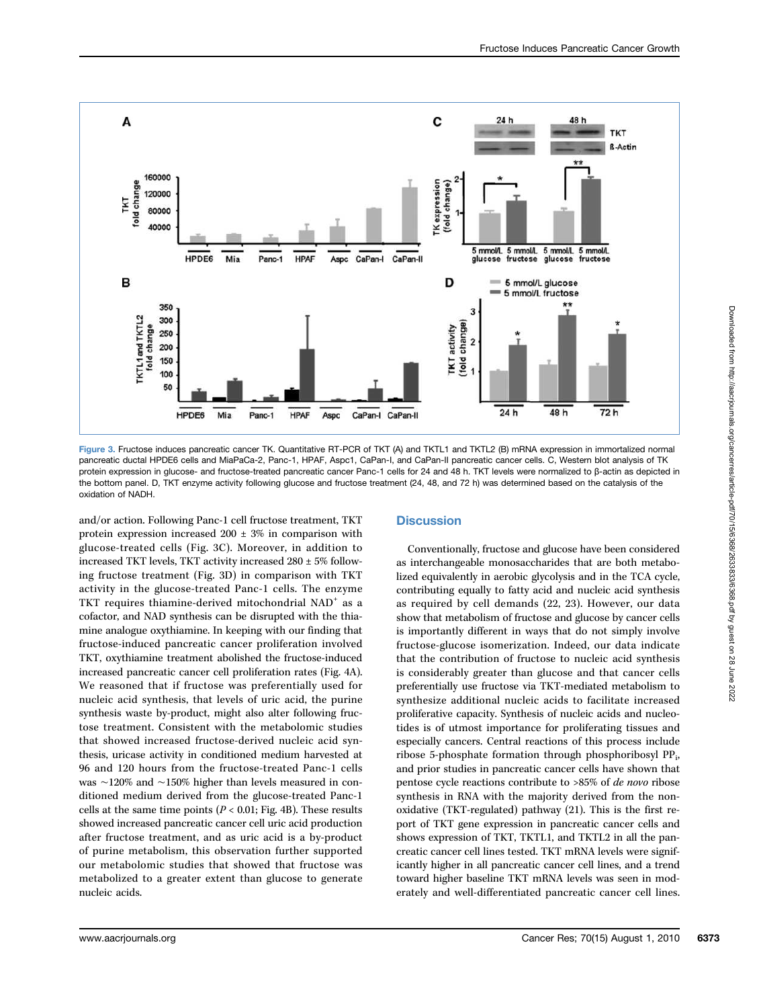

Figure 3. Fructose induces pancreatic cancer TK. Quantitative RT-PCR of TKT (A) and TKTL1 and TKTL2 (B) mRNA expression in immortalized normal pancreatic ductal HPDE6 cells and MiaPaCa-2, Panc-1, HPAF, Aspc1, CaPan-I, and CaPan-II pancreatic cancer cells. C, Western blot analysis of TK protein expression in glucose- and fructose-treated pancreatic cancer Panc-1 cells for 24 and 48 h. TKT levels were normalized to β-actin as depicted in the bottom panel. D, TKT enzyme activity following glucose and fructose treatment (24, 48, and 72 h) was determined based on the catalysis of the oxidation of NADH.

and/or action. Following Panc-1 cell fructose treatment, TKT protein expression increased  $200 \pm 3\%$  in comparison with glucose-treated cells (Fig. 3C). Moreover, in addition to increased TKT levels, TKT activity increased 280 ± 5% following fructose treatment (Fig. 3D) in comparison with TKT activity in the glucose-treated Panc-1 cells. The enzyme TKT requires thiamine-derived mitochondrial NAD<sup>+</sup> as a cofactor, and NAD synthesis can be disrupted with the thiamine analogue oxythiamine. In keeping with our finding that fructose-induced pancreatic cancer proliferation involved TKT, oxythiamine treatment abolished the fructose-induced increased pancreatic cancer cell proliferation rates (Fig. 4A). We reasoned that if fructose was preferentially used for nucleic acid synthesis, that levels of uric acid, the purine synthesis waste by-product, might also alter following fructose treatment. Consistent with the metabolomic studies that showed increased fructose-derived nucleic acid synthesis, uricase activity in conditioned medium harvested at 96 and 120 hours from the fructose-treated Panc-1 cells was ∼120% and ∼150% higher than levels measured in conditioned medium derived from the glucose-treated Panc-1 cells at the same time points ( $P < 0.01$ ; Fig. 4B). These results showed increased pancreatic cancer cell uric acid production after fructose treatment, and as uric acid is a by-product of purine metabolism, this observation further supported our metabolomic studies that showed that fructose was metabolized to a greater extent than glucose to generate nucleic acids.

## **Discussion**

Conventionally, fructose and glucose have been considered as interchangeable monosaccharides that are both metabolized equivalently in aerobic glycolysis and in the TCA cycle, contributing equally to fatty acid and nucleic acid synthesis as required by cell demands (22, 23). However, our data show that metabolism of fructose and glucose by cancer cells is importantly different in ways that do not simply involve fructose-glucose isomerization. Indeed, our data indicate that the contribution of fructose to nucleic acid synthesis is considerably greater than glucose and that cancer cells preferentially use fructose via TKT-mediated metabolism to synthesize additional nucleic acids to facilitate increased proliferative capacity. Synthesis of nucleic acids and nucleotides is of utmost importance for proliferating tissues and especially cancers. Central reactions of this process include ribose 5-phosphate formation through phosphoribosyl PP<sub>i</sub>, and prior studies in pancreatic cancer cells have shown that pentose cycle reactions contribute to >85% of de novo ribose synthesis in RNA with the majority derived from the nonoxidative (TKT-regulated) pathway (21). This is the first report of TKT gene expression in pancreatic cancer cells and shows expression of TKT, TKTL1, and TKTL2 in all the pancreatic cancer cell lines tested. TKT mRNA levels were significantly higher in all pancreatic cancer cell lines, and a trend toward higher baseline TKT mRNA levels was seen in moderately and well-differentiated pancreatic cancer cell lines.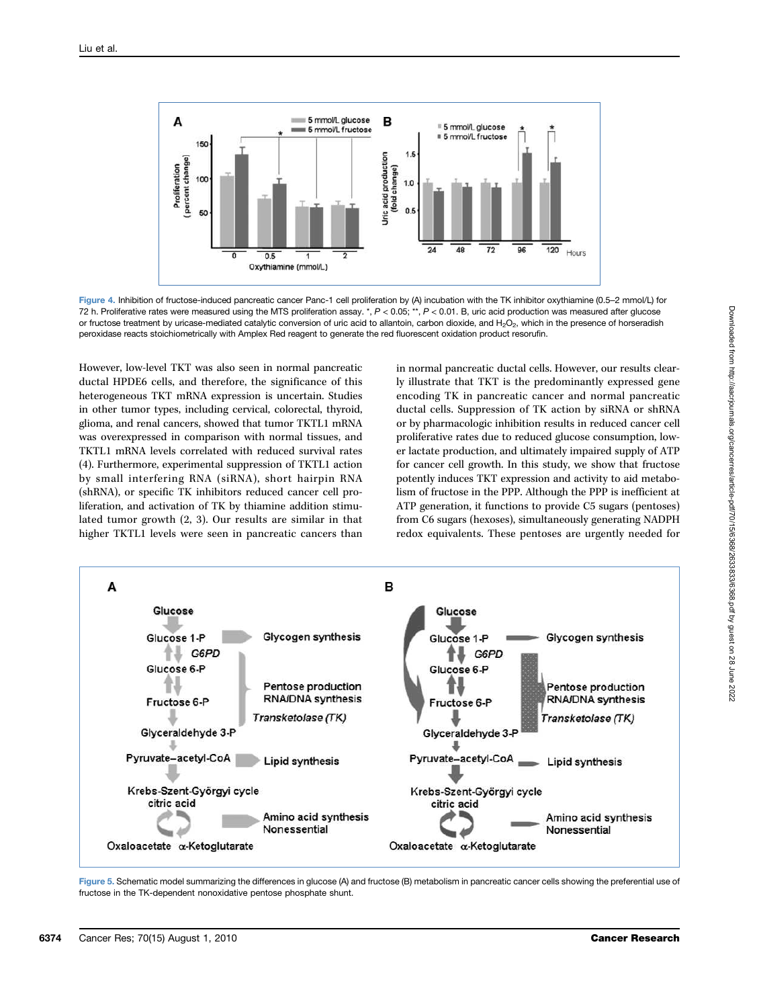

Figure 4. Inhibition of fructose-induced pancreatic cancer Panc-1 cell proliferation by (A) incubation with the TK inhibitor oxythiamine (0.5–2 mmol/L) for 72 h. Proliferative rates were measured using the MTS proliferation assay. \*,  $P < 0.05$ ; \*\*,  $P < 0.01$ . B, uric acid production was measured after glucose or fructose treatment by uricase-mediated catalytic conversion of uric acid to allantoin, carbon dioxide, and H<sub>2</sub>O<sub>2</sub>, which in the presence of horseradish peroxidase reacts stoichiometrically with Amplex Red reagent to generate the red fluorescent oxidation product resorufin.

However, low-level TKT was also seen in normal pancreatic ductal HPDE6 cells, and therefore, the significance of this heterogeneous TKT mRNA expression is uncertain. Studies in other tumor types, including cervical, colorectal, thyroid, glioma, and renal cancers, showed that tumor TKTL1 mRNA was overexpressed in comparison with normal tissues, and TKTL1 mRNA levels correlated with reduced survival rates (4). Furthermore, experimental suppression of TKTL1 action by small interfering RNA (siRNA), short hairpin RNA (shRNA), or specific TK inhibitors reduced cancer cell proliferation, and activation of TK by thiamine addition stimulated tumor growth (2, 3). Our results are similar in that higher TKTL1 levels were seen in pancreatic cancers than

in normal pancreatic ductal cells. However, our results clearly illustrate that TKT is the predominantly expressed gene encoding TK in pancreatic cancer and normal pancreatic ductal cells. Suppression of TK action by siRNA or shRNA or by pharmacologic inhibition results in reduced cancer cell proliferative rates due to reduced glucose consumption, lower lactate production, and ultimately impaired supply of ATP for cancer cell growth. In this study, we show that fructose potently induces TKT expression and activity to aid metabolism of fructose in the PPP. Although the PPP is inefficient at ATP generation, it functions to provide C5 sugars (pentoses) from C6 sugars (hexoses), simultaneously generating NADPH redox equivalents. These pentoses are urgently needed for



Figure 5. Schematic model summarizing the differences in glucose (A) and fructose (B) metabolism in pancreatic cancer cells showing the preferential use of fructose in the TK-dependent nonoxidative pentose phosphate shunt.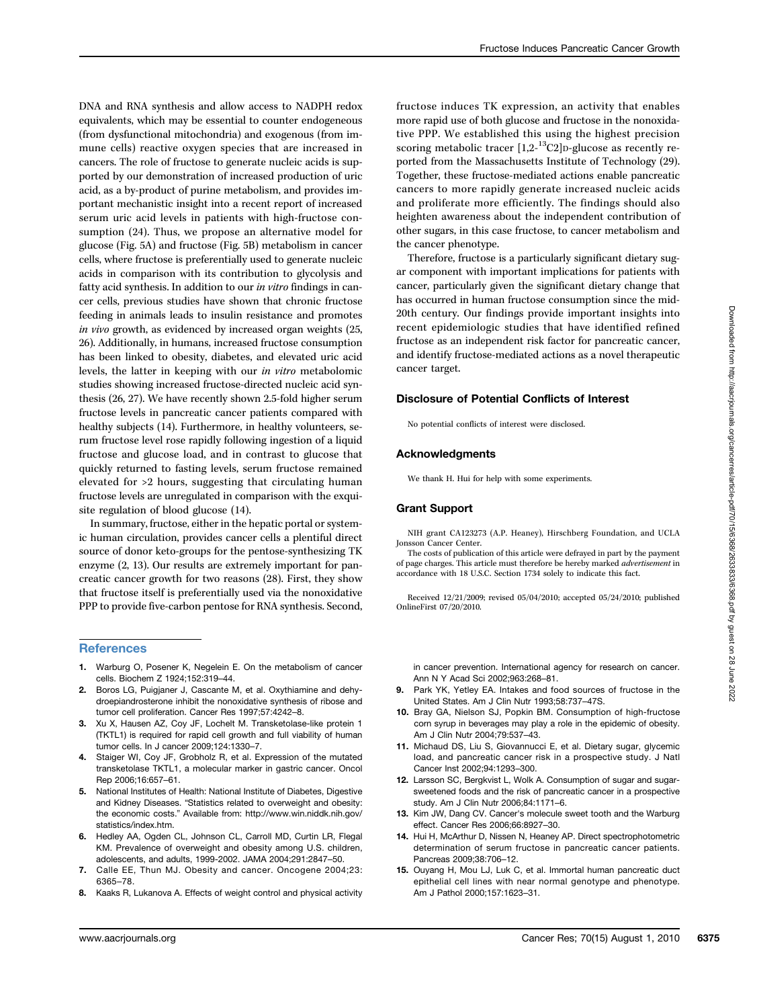DNA and RNA synthesis and allow access to NADPH redox equivalents, which may be essential to counter endogeneous (from dysfunctional mitochondria) and exogenous (from immune cells) reactive oxygen species that are increased in cancers. The role of fructose to generate nucleic acids is supported by our demonstration of increased production of uric acid, as a by-product of purine metabolism, and provides important mechanistic insight into a recent report of increased serum uric acid levels in patients with high-fructose consumption (24). Thus, we propose an alternative model for glucose (Fig. 5A) and fructose (Fig. 5B) metabolism in cancer cells, where fructose is preferentially used to generate nucleic acids in comparison with its contribution to glycolysis and fatty acid synthesis. In addition to our in vitro findings in cancer cells, previous studies have shown that chronic fructose feeding in animals leads to insulin resistance and promotes in vivo growth, as evidenced by increased organ weights (25, 26). Additionally, in humans, increased fructose consumption has been linked to obesity, diabetes, and elevated uric acid levels, the latter in keeping with our in vitro metabolomic studies showing increased fructose-directed nucleic acid synthesis (26, 27). We have recently shown 2.5-fold higher serum fructose levels in pancreatic cancer patients compared with healthy subjects (14). Furthermore, in healthy volunteers, serum fructose level rose rapidly following ingestion of a liquid fructose and glucose load, and in contrast to glucose that quickly returned to fasting levels, serum fructose remained elevated for >2 hours, suggesting that circulating human fructose levels are unregulated in comparison with the exquisite regulation of blood glucose (14).

In summary, fructose, either in the hepatic portal or systemic human circulation, provides cancer cells a plentiful direct source of donor keto-groups for the pentose-synthesizing TK enzyme (2, 13). Our results are extremely important for pancreatic cancer growth for two reasons (28). First, they show that fructose itself is preferentially used via the nonoxidative PPP to provide five-carbon pentose for RNA synthesis. Second,

#### **References**

- 1. Warburg O, Posener K, Negelein E. On the metabolism of cancer cells. Biochem Z 1924;152:319–44.
- 2. Boros LG, Puigjaner J, Cascante M, et al. Oxythiamine and dehydroepiandrosterone inhibit the nonoxidative synthesis of ribose and tumor cell proliferation. Cancer Res 1997;57:4242–8.
- 3. Xu X, Hausen AZ, Coy JF, Lochelt M. Transketolase-like protein 1 (TKTL1) is required for rapid cell growth and full viability of human tumor cells. In J cancer 2009;124:1330–7.
- 4. Staiger WI, Coy JF, Grobholz R, et al. Expression of the mutated transketolase TKTL1, a molecular marker in gastric cancer. Oncol Rep 2006;16:657–61.
- 5. National Institutes of Health: National Institute of Diabetes, Digestive and Kidney Diseases. "Statistics related to overweight and obesity: the economic costs." Available from: http://www.win.niddk.nih.gov/ statistics/index.htm.
- 6. Hedley AA, Ogden CL, Johnson CL, Carroll MD, Curtin LR, Flegal KM. Prevalence of overweight and obesity among U.S. children, adolescents, and adults, 1999-2002. JAMA 2004;291:2847–50.
- Calle EE, Thun MJ. Obesity and cancer. Oncogene 2004;23: 6365–78.
- 8. Kaaks R, Lukanova A. Effects of weight control and physical activity

fructose induces TK expression, an activity that enables more rapid use of both glucose and fructose in the nonoxidative PPP. We established this using the highest precision scoring metabolic tracer  $[1,2^{-13}C2]$ D-glucose as recently reported from the Massachusetts Institute of Technology (29). Together, these fructose-mediated actions enable pancreatic cancers to more rapidly generate increased nucleic acids and proliferate more efficiently. The findings should also heighten awareness about the independent contribution of other sugars, in this case fructose, to cancer metabolism and the cancer phenotype.

Therefore, fructose is a particularly significant dietary sugar component with important implications for patients with cancer, particularly given the significant dietary change that has occurred in human fructose consumption since the mid-20th century. Our findings provide important insights into recent epidemiologic studies that have identified refined fructose as an independent risk factor for pancreatic cancer, and identify fructose-mediated actions as a novel therapeutic cancer target.

#### Disclosure of Potential Conflicts of Interest

No potential conflicts of interest were disclosed.

#### Acknowledgments

We thank H. Hui for help with some experiments.

#### Grant Support

NIH grant CA123273 (A.P. Heaney), Hirschberg Foundation, and UCLA Jonsson Cancer Center.

The costs of publication of this article were defrayed in part by the payment of page charges. This article must therefore be hereby marked *advertisement* in accordance with 18 U.S.C. Section 1734 solely to indicate this fact.

Received 12/21/2009; revised 05/04/2010; accepted 05/24/2010; published OnlineFirst 07/20/2010.

in cancer prevention. International agency for research on cancer. Ann N Y Acad Sci 2002;963:268–81.

- 9. Park YK, Yetley EA. Intakes and food sources of fructose in the United States. Am J Clin Nutr 1993;58:737–47S.
- 10. Bray GA, Nielson SJ, Popkin BM. Consumption of high-fructose corn syrup in beverages may play a role in the epidemic of obesity. Am J Clin Nutr 2004;79:537–43.
- 11. Michaud DS, Liu S, Giovannucci E, et al. Dietary sugar, glycemic load, and pancreatic cancer risk in a prospective study. J Natl Cancer Inst 2002;94:1293–300.
- 12. Larsson SC, Bergkvist L. Wolk A. Consumption of sugar and sugarsweetened foods and the risk of pancreatic cancer in a prospective study. Am J Clin Nutr 2006;84:1171–6.
- 13. Kim JW, Dang CV. Cancer's molecule sweet tooth and the Warburg effect. Cancer Res 2006;66:8927–30.
- 14. Hui H, McArthur D, Nissen N, Heaney AP. Direct spectrophotometric determination of serum fructose in pancreatic cancer patients. Pancreas 2009;38:706–12.
- 15. Ouyang H, Mou LJ, Luk C, et al. Immortal human pancreatic duct epithelial cell lines with near normal genotype and phenotype. Am J Pathol 2000;157:1623–31.